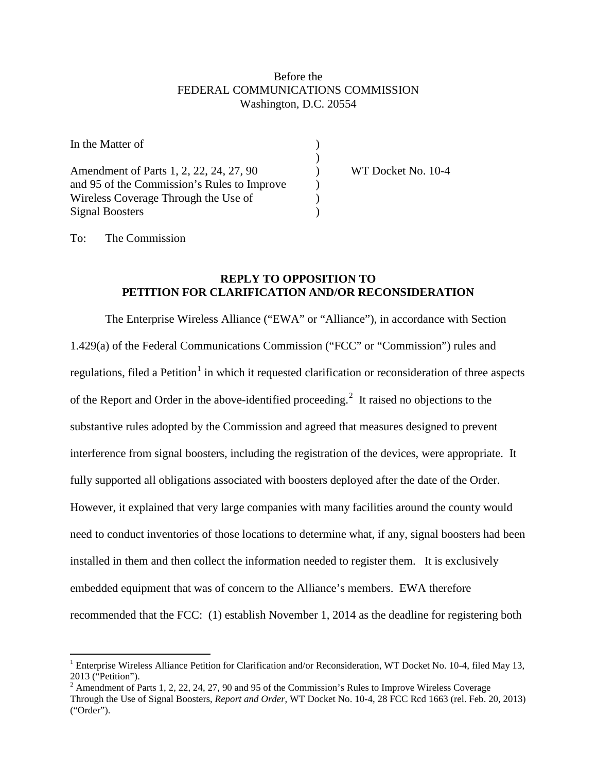## Before the FEDERAL COMMUNICATIONS COMMISSION Washington, D.C. 20554

| In the Matter of                            |                    |
|---------------------------------------------|--------------------|
|                                             |                    |
| Amendment of Parts 1, 2, 22, 24, 27, 90     | WT Docket No. 10-4 |
| and 95 of the Commission's Rules to Improve |                    |
| Wireless Coverage Through the Use of        |                    |
| <b>Signal Boosters</b>                      |                    |

To: The Commission

## **REPLY TO OPPOSITION TO PETITION FOR CLARIFICATION AND/OR RECONSIDERATION**

The Enterprise Wireless Alliance ("EWA" or "Alliance"), in accordance with Section 1.429(a) of the Federal Communications Commission ("FCC" or "Commission") rules and regulations, filed a Petition<sup>[1](#page-0-0)</sup> in which it requested clarification or reconsideration of three aspects of the Report and Order in the above-identified proceeding.<sup>[2](#page-0-1)</sup> It raised no objections to the substantive rules adopted by the Commission and agreed that measures designed to prevent interference from signal boosters, including the registration of the devices, were appropriate. It fully supported all obligations associated with boosters deployed after the date of the Order. However, it explained that very large companies with many facilities around the county would need to conduct inventories of those locations to determine what, if any, signal boosters had been installed in them and then collect the information needed to register them. It is exclusively embedded equipment that was of concern to the Alliance's members. EWA therefore recommended that the FCC: (1) establish November 1, 2014 as the deadline for registering both

<span id="page-0-0"></span> <sup>1</sup> Enterprise Wireless Alliance Petition for Clarification and/or Reconsideration, WT Docket No. 10-4, filed May 13, 2013 ("Petition").

<span id="page-0-1"></span><sup>&</sup>lt;sup>2</sup> Amendment of Parts 1, 2, 22, 24, 27, 90 and 95 of the Commission's Rules to Improve Wireless Coverage Through the Use of Signal Boosters, *Report and Order*, WT Docket No. 10-4, 28 FCC Rcd 1663 (rel. Feb. 20, 2013) ("Order").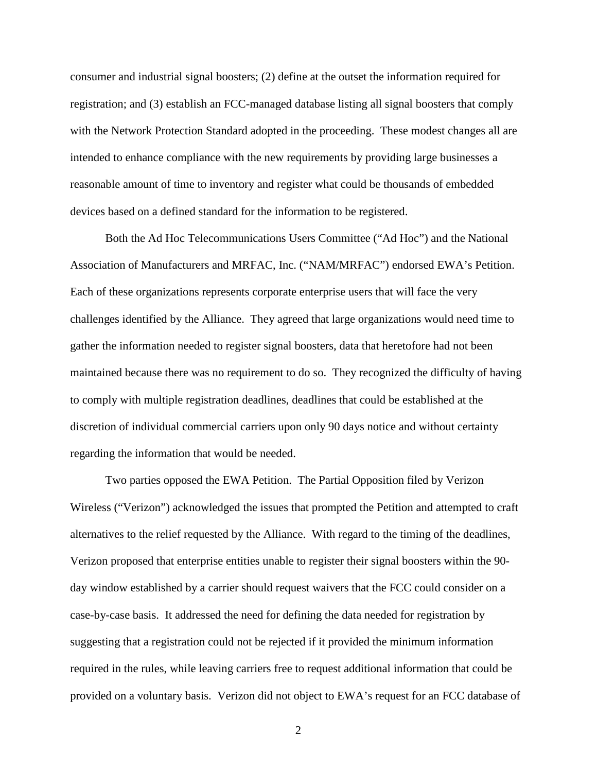consumer and industrial signal boosters; (2) define at the outset the information required for registration; and (3) establish an FCC-managed database listing all signal boosters that comply with the Network Protection Standard adopted in the proceeding. These modest changes all are intended to enhance compliance with the new requirements by providing large businesses a reasonable amount of time to inventory and register what could be thousands of embedded devices based on a defined standard for the information to be registered.

Both the Ad Hoc Telecommunications Users Committee ("Ad Hoc") and the National Association of Manufacturers and MRFAC, Inc. ("NAM/MRFAC") endorsed EWA's Petition. Each of these organizations represents corporate enterprise users that will face the very challenges identified by the Alliance. They agreed that large organizations would need time to gather the information needed to register signal boosters, data that heretofore had not been maintained because there was no requirement to do so. They recognized the difficulty of having to comply with multiple registration deadlines, deadlines that could be established at the discretion of individual commercial carriers upon only 90 days notice and without certainty regarding the information that would be needed.

Two parties opposed the EWA Petition. The Partial Opposition filed by Verizon Wireless ("Verizon") acknowledged the issues that prompted the Petition and attempted to craft alternatives to the relief requested by the Alliance. With regard to the timing of the deadlines, Verizon proposed that enterprise entities unable to register their signal boosters within the 90 day window established by a carrier should request waivers that the FCC could consider on a case-by-case basis. It addressed the need for defining the data needed for registration by suggesting that a registration could not be rejected if it provided the minimum information required in the rules, while leaving carriers free to request additional information that could be provided on a voluntary basis. Verizon did not object to EWA's request for an FCC database of

2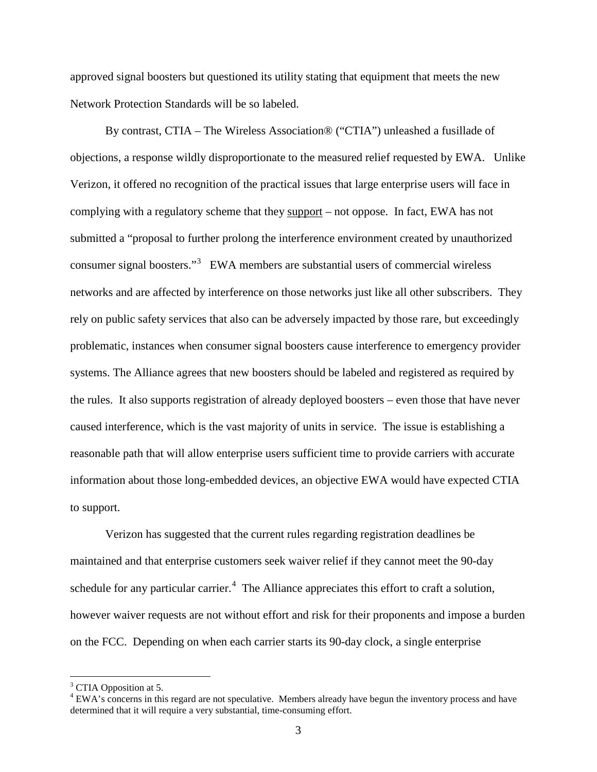approved signal boosters but questioned its utility stating that equipment that meets the new Network Protection Standards will be so labeled.

By contrast, CTIA – The Wireless Association® ("CTIA") unleashed a fusillade of objections, a response wildly disproportionate to the measured relief requested by EWA. Unlike Verizon, it offered no recognition of the practical issues that large enterprise users will face in complying with a regulatory scheme that they support – not oppose. In fact, EWA has not submitted a "proposal to further prolong the interference environment created by unauthorized consumer signal boosters."<sup>[3](#page-2-0)</sup> EWA members are substantial users of commercial wireless networks and are affected by interference on those networks just like all other subscribers. They rely on public safety services that also can be adversely impacted by those rare, but exceedingly problematic, instances when consumer signal boosters cause interference to emergency provider systems. The Alliance agrees that new boosters should be labeled and registered as required by the rules. It also supports registration of already deployed boosters – even those that have never caused interference, which is the vast majority of units in service. The issue is establishing a reasonable path that will allow enterprise users sufficient time to provide carriers with accurate information about those long-embedded devices, an objective EWA would have expected CTIA to support.

Verizon has suggested that the current rules regarding registration deadlines be maintained and that enterprise customers seek waiver relief if they cannot meet the 90-day schedule for any particular carrier.<sup>[4](#page-2-1)</sup> The Alliance appreciates this effort to craft a solution, however waiver requests are not without effort and risk for their proponents and impose a burden on the FCC. Depending on when each carrier starts its 90-day clock, a single enterprise

<span id="page-2-0"></span> $3$  CTIA Opposition at 5.

<span id="page-2-1"></span><sup>&</sup>lt;sup>4</sup> EWA's concerns in this regard are not speculative. Members already have begun the inventory process and have determined that it will require a very substantial, time-consuming effort.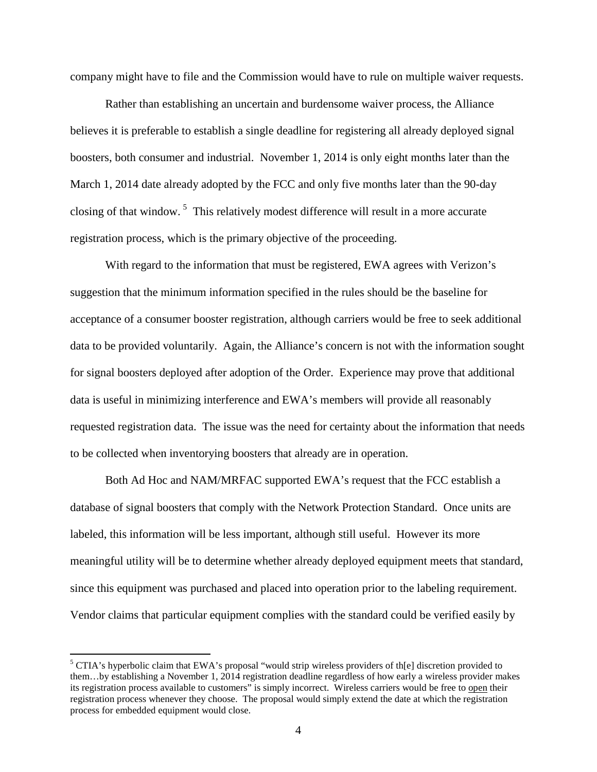company might have to file and the Commission would have to rule on multiple waiver requests.

Rather than establishing an uncertain and burdensome waiver process, the Alliance believes it is preferable to establish a single deadline for registering all already deployed signal boosters, both consumer and industrial. November 1, 2014 is only eight months later than the March 1, 2014 date already adopted by the FCC and only five months later than the 90-day closing of that window.<sup>[5](#page-3-0)</sup> This relatively modest difference will result in a more accurate registration process, which is the primary objective of the proceeding.

With regard to the information that must be registered, EWA agrees with Verizon's suggestion that the minimum information specified in the rules should be the baseline for acceptance of a consumer booster registration, although carriers would be free to seek additional data to be provided voluntarily. Again, the Alliance's concern is not with the information sought for signal boosters deployed after adoption of the Order. Experience may prove that additional data is useful in minimizing interference and EWA's members will provide all reasonably requested registration data. The issue was the need for certainty about the information that needs to be collected when inventorying boosters that already are in operation.

Both Ad Hoc and NAM/MRFAC supported EWA's request that the FCC establish a database of signal boosters that comply with the Network Protection Standard. Once units are labeled, this information will be less important, although still useful. However its more meaningful utility will be to determine whether already deployed equipment meets that standard, since this equipment was purchased and placed into operation prior to the labeling requirement. Vendor claims that particular equipment complies with the standard could be verified easily by

<span id="page-3-0"></span><sup>&</sup>lt;sup>5</sup> CTIA's hyperbolic claim that EWA's proposal "would strip wireless providers of th[e] discretion provided to them…by establishing a November 1, 2014 registration deadline regardless of how early a wireless provider makes its registration process available to customers" is simply incorrect. Wireless carriers would be free to open their registration process whenever they choose. The proposal would simply extend the date at which the registration process for embedded equipment would close.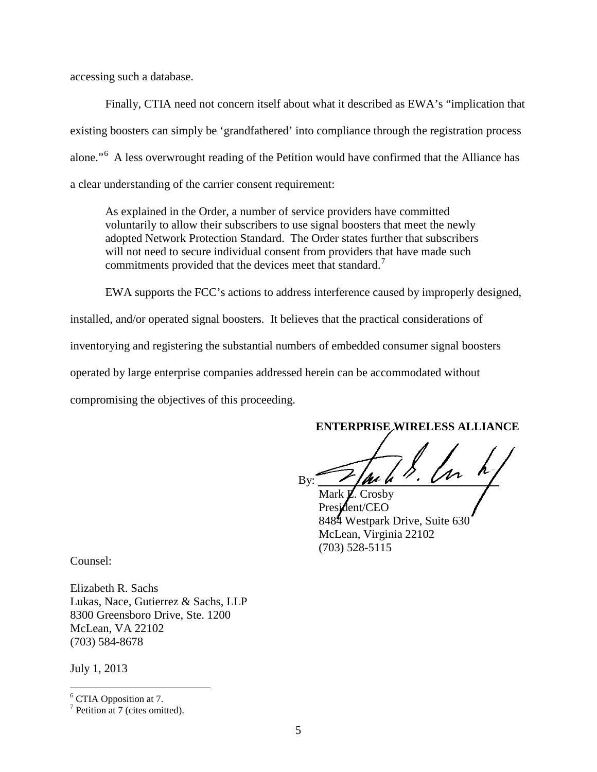accessing such a database.

Finally, CTIA need not concern itself about what it described as EWA's "implication that existing boosters can simply be 'grandfathered' into compliance through the registration process alone."<sup>[6](#page-4-0)</sup> A less overwrought reading of the Petition would have confirmed that the Alliance has a clear understanding of the carrier consent requirement:

As explained in the Order, a number of service providers have committed voluntarily to allow their subscribers to use signal boosters that meet the newly adopted Network Protection Standard. The Order states further that subscribers will not need to secure individual consent from providers that have made such commitments provided that the devices meet that standard.<sup>[7](#page-4-1)</sup>

EWA supports the FCC's actions to address interference caused by improperly designed,

installed, and/or operated signal boosters. It believes that the practical considerations of inventorying and registering the substantial numbers of embedded consumer signal boosters operated by large enterprise companies addressed herein can be accommodated without compromising the objectives of this proceeding.

**ENTERPRISE WIRELESS ALLIANCE**

By:  $\frac{1}{\sqrt{u^2-v^2}}$ 

Mark  $\cancel{\mathbf{Z}}$ . Crosby President/CEO 8484 Westpark Drive, Suite 630 McLean, Virginia 22102 (703) 528-5115

Counsel:

Elizabeth R. Sachs Lukas, Nace, Gutierrez & Sachs, LLP 8300 Greensboro Drive, Ste. 1200 McLean, VA 22102 (703) 584-8678

July 1, 2013

<span id="page-4-0"></span> <sup>6</sup> CTIA Opposition at 7.

<span id="page-4-1"></span> $<sup>7</sup>$  Petition at 7 (cites omitted).</sup>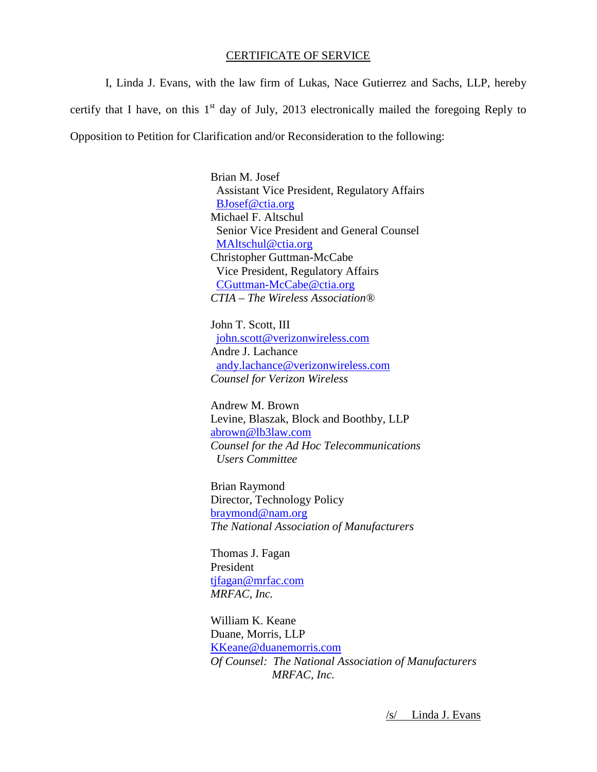## CERTIFICATE OF SERVICE

I, Linda J. Evans, with the law firm of Lukas, Nace Gutierrez and Sachs, LLP, hereby certify that I have, on this  $1<sup>st</sup>$  day of July, 2013 electronically mailed the foregoing Reply to Opposition to Petition for Clarification and/or Reconsideration to the following:

> Brian M. Josef Assistant Vice President, Regulatory Affairs [BJosef@ctia.org](mailto:BJosef@ctia.org) Michael F. Altschul Senior Vice President and General Counsel [MAltschul@ctia.org](mailto:MAltschul@ctia.org) Christopher Guttman-McCabe Vice President, Regulatory Affairs [CGuttman-McCabe@ctia.org](mailto:CGuttman-McCabe@ctia.org) *CTIA – The Wireless Association®*

John T. Scott, III [john.scott@verizonwireless.com](mailto:john.scott@verizonwireless.com) Andre J. Lachance [andy.lachance@verizonwireless.com](mailto:andy.lachance@verizonwireless.com) *Counsel for Verizon Wireless*

Andrew M. Brown Levine, Blaszak, Block and Boothby, LLP [abrown@lb3law.com](mailto:abrown@lb3law.com) *Counsel for the Ad Hoc Telecommunications Users Committee*

Brian Raymond Director, Technology Policy [braymond@nam.org](mailto:braymond@nam.org) *The National Association of Manufacturers*

Thomas J. Fagan President [tjfagan@mrfac.com](mailto:tjfagan@mrfac.com) *MRFAC, Inc.*

William K. Keane Duane, Morris, LLP [KKeane@duanemorris.com](mailto:KKeane@duanemorris.com) *Of Counsel: The National Association of Manufacturers MRFAC, Inc.*

/s/ Linda J. Evans